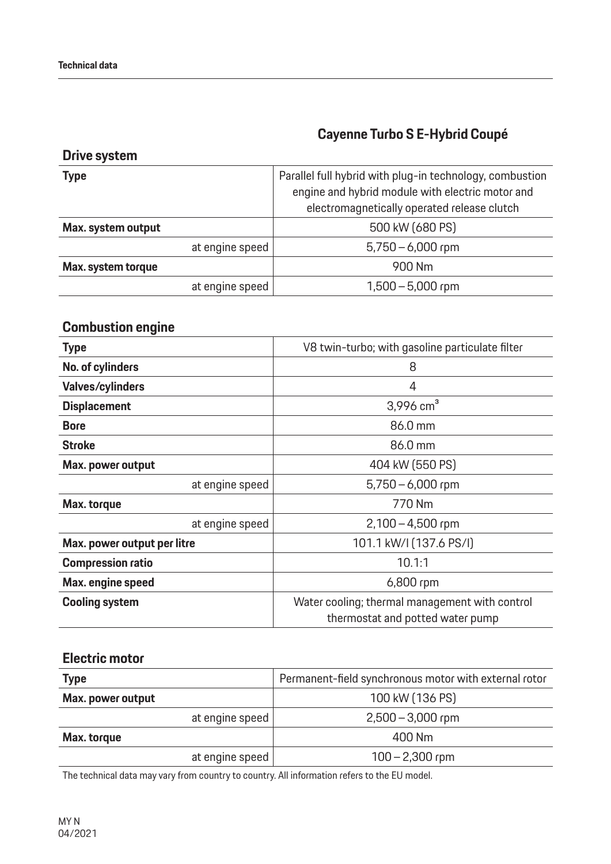**Drive system**

## **Cayenne Turbo S E-Hybrid Coupé**

| <b>Type</b>        |                 | Parallel full hybrid with plug-in technology, combustion<br>engine and hybrid module with electric motor and |
|--------------------|-----------------|--------------------------------------------------------------------------------------------------------------|
|                    |                 | electromagnetically operated release clutch                                                                  |
| Max. system output |                 | 500 kW (680 PS)                                                                                              |
|                    | at engine speed | $5,750 - 6,000$ rpm                                                                                          |
| Max. system torque |                 | 900 Nm                                                                                                       |
|                    | at engine speed | $1,500 - 5,000$ rpm                                                                                          |
|                    |                 |                                                                                                              |

## **Combustion engine**

| <b>Type</b>                 | V8 twin-turbo; with gasoline particulate filter                                    |
|-----------------------------|------------------------------------------------------------------------------------|
| No. of cylinders            | 8                                                                                  |
| <b>Valves/cylinders</b>     | 4                                                                                  |
| <b>Displacement</b>         | 3,996 $cm3$                                                                        |
| <b>Bore</b>                 | 86.0 mm                                                                            |
| <b>Stroke</b>               | 86.0 mm                                                                            |
| Max. power output           | 404 kW (550 PS)                                                                    |
| at engine speed             | $5,750 - 6,000$ rpm                                                                |
| Max. torque                 | 770 Nm                                                                             |
| at engine speed             | $2,100 - 4,500$ rpm                                                                |
| Max. power output per litre | 101.1 kW/I (137.6 PS/I)                                                            |
| <b>Compression ratio</b>    | 10.1:1                                                                             |
| Max. engine speed           | 6,800 rpm                                                                          |
| <b>Cooling system</b>       | Water cooling; thermal management with control<br>thermostat and potted water pump |

#### **Electric motor**

| <b>Type</b>       | Permanent-field synchronous motor with external rotor |
|-------------------|-------------------------------------------------------|
| Max. power output | 100 kW (136 PS)                                       |
| at engine speed   | $2,500 - 3,000$ rpm                                   |
| Max. torque       | 400 Nm                                                |
| at engine speed   | $100 - 2,300$ rpm                                     |

The technical data may vary from country to country. All information refers to the EU model.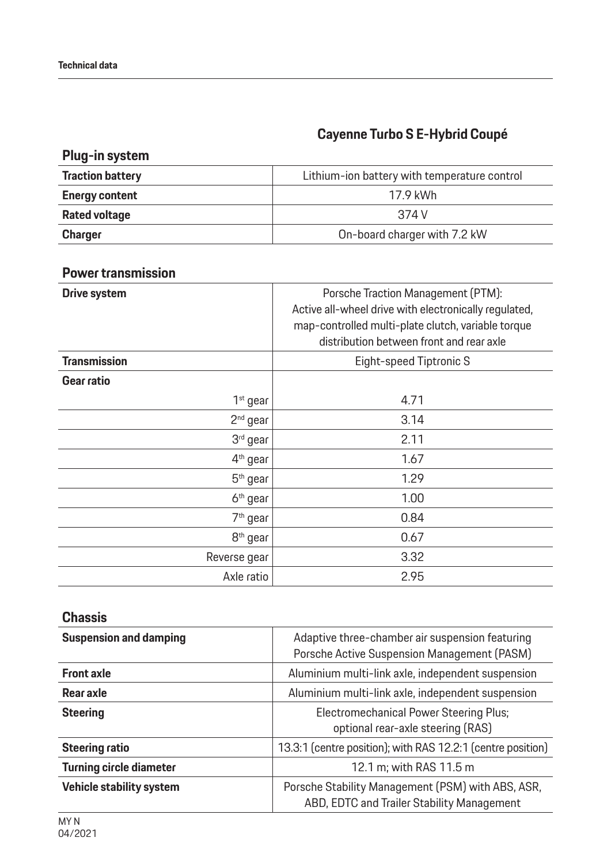# **Cayenne Turbo S E-Hybrid Coupé**

| Plug-in system          |                                              |
|-------------------------|----------------------------------------------|
| <b>Traction battery</b> | Lithium-ion battery with temperature control |
| <b>Energy content</b>   | 17.9 kWh                                     |
| <b>Rated voltage</b>    | 374 V                                        |
| <b>Charger</b>          | On-board charger with 7.2 kW                 |

#### **Power transmission**

| <b>Drive system</b>  | Porsche Traction Management (PTM):<br>Active all-wheel drive with electronically regulated,<br>map-controlled multi-plate clutch, variable torque<br>distribution between front and rear axle |
|----------------------|-----------------------------------------------------------------------------------------------------------------------------------------------------------------------------------------------|
| <b>Transmission</b>  | Eight-speed Tiptronic S                                                                                                                                                                       |
| Gear ratio           |                                                                                                                                                                                               |
| $1st$ gear           | 4.71                                                                                                                                                                                          |
| $2nd$ gear           | 3.14                                                                                                                                                                                          |
| 3rd gear             | 2.11                                                                                                                                                                                          |
| 4 <sup>th</sup> gear | 1.67                                                                                                                                                                                          |
| 5 <sup>th</sup> gear | 1.29                                                                                                                                                                                          |
| 6 <sup>th</sup> gear | 1.00                                                                                                                                                                                          |
| 7 <sup>th</sup> gear | 0.84                                                                                                                                                                                          |
| 8 <sup>th</sup> gear | 0.67                                                                                                                                                                                          |
| Reverse gear         | 3.32                                                                                                                                                                                          |
| Axle ratio           | 2.95                                                                                                                                                                                          |

#### **Chassis**

| <b>Suspension and damping</b>  | Adaptive three-chamber air suspension featuring<br>Porsche Active Suspension Management (PASM)  |
|--------------------------------|-------------------------------------------------------------------------------------------------|
| <b>Front axle</b>              | Aluminium multi-link axle, independent suspension                                               |
| Rear axle                      | Aluminium multi-link axle, independent suspension                                               |
| <b>Steering</b>                | <b>Electromechanical Power Steering Plus;</b><br>optional rear-axle steering (RAS)              |
| <b>Steering ratio</b>          | 13.3:1 (centre position); with RAS 12.2:1 (centre position)                                     |
| <b>Turning circle diameter</b> | 12.1 m; with RAS 11.5 m                                                                         |
| Vehicle stability system       | Porsche Stability Management (PSM) with ABS, ASR,<br>ABD, EDTC and Trailer Stability Management |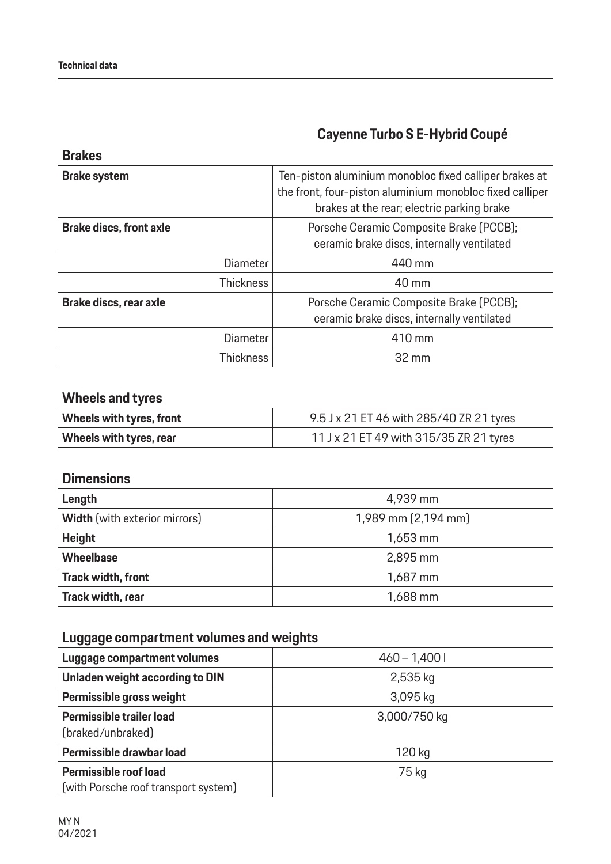## **Cayenne Turbo S E-Hybrid Coupé**

| <b>Brakes</b>                  |                                                                                                                                                                  |
|--------------------------------|------------------------------------------------------------------------------------------------------------------------------------------------------------------|
| <b>Brake system</b>            | Ten-piston aluminium monobloc fixed calliper brakes at<br>the front, four-piston aluminium monobloc fixed calliper<br>brakes at the rear; electric parking brake |
| <b>Brake discs, front axle</b> | Porsche Ceramic Composite Brake (PCCB);<br>ceramic brake discs, internally ventilated                                                                            |
| <b>Diameter</b>                | 440 mm                                                                                                                                                           |
| <b>Thickness</b>               | 40 mm                                                                                                                                                            |
| Brake discs, rear axle         | Porsche Ceramic Composite Brake (PCCB);<br>ceramic brake discs, internally ventilated                                                                            |
| <b>Diameter</b>                | 410 mm                                                                                                                                                           |
| <b>Thickness</b>               | 32 mm                                                                                                                                                            |

### **Wheels and tyres**

| Wheels with tyres, front | 9.5 J x 21 ET 46 with 285/40 ZR 21 tyres |
|--------------------------|------------------------------------------|
| Wheels with tyres, rear  | 11 J x 21 ET 49 with 315/35 ZR 21 tyres  |

#### **Dimensions**

| Length<br>4,939 mm<br>1,989 mm (2,194 mm)<br><b>Width</b> (with exterior mirrors)<br><b>Height</b><br>1,653 mm<br><b>Wheelbase</b><br>2,895 mm |                           |          |
|------------------------------------------------------------------------------------------------------------------------------------------------|---------------------------|----------|
|                                                                                                                                                |                           |          |
|                                                                                                                                                |                           |          |
|                                                                                                                                                |                           |          |
|                                                                                                                                                |                           |          |
|                                                                                                                                                | <b>Track width, front</b> | 1,687 mm |
| Track width, rear<br>1,688 mm                                                                                                                  |                           |          |

## **Luggage compartment volumes and weights**

| Luggage compartment volumes                   | $460 - 1,4001$ |
|-----------------------------------------------|----------------|
| Unladen weight according to DIN               | 2,535 kg       |
| Permissible gross weight                      | 3,095 kg       |
| Permissible trailer load<br>(braked/unbraked) | 3,000/750 kg   |
| Permissible drawbar load                      | 120 kg         |
| Permissible roof load                         | 75 kg          |
| (with Porsche roof transport system)          |                |